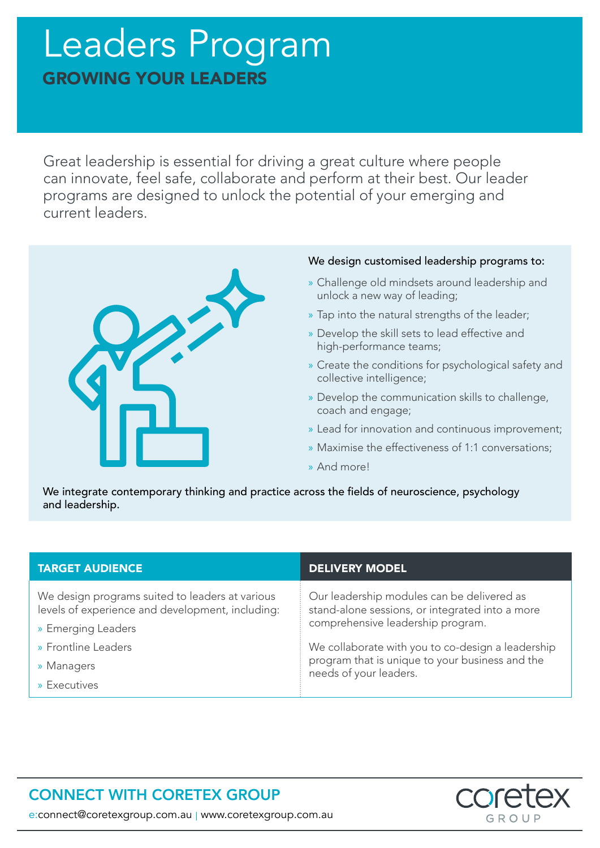# Leaders Program GROWING YOUR LEADERS

Great leadership is essential for driving a great culture where people can innovate, feel safe, collaborate and perform at their best. Our leader programs are designed to unlock the potential of your emerging and current leaders.



#### We design customised leadership programs to:

- » Challenge old mindsets around leadership and unlock a new way of leading;
- » Tap into the natural strengths of the leader;
- » Develop the skill sets to lead effective and high-performance teams;
- » Create the conditions for psychological safety and collective intelligence;
- » Develop the communication skills to challenge, coach and engage;
- » Lead for innovation and continuous improvement;
- » Maximise the effectiveness of 1:1 conversations;
- » And more!

We integrate contemporary thinking and practice across the fields of neuroscience, psychology and leadership.

| <b>TARGET AUDIENCE</b>                                                                              | <b>DELIVERY MODEL</b>                                                                                                              |
|-----------------------------------------------------------------------------------------------------|------------------------------------------------------------------------------------------------------------------------------------|
| We design programs suited to leaders at various<br>levels of experience and development, including: | Our leadership modules can be delivered as<br>stand-alone sessions, or integrated into a more<br>comprehensive leadership program. |
| » Emerging Leaders                                                                                  |                                                                                                                                    |
| » Frontline Leaders                                                                                 | We collaborate with you to co-design a leadership<br>program that is unique to your business and the<br>needs of your leaders.     |
| » Managers                                                                                          |                                                                                                                                    |
| » Executives                                                                                        |                                                                                                                                    |

## CONNECT WITH CORETEX GROUP



e:connect@coretexgroup.com.au | www.coretexgroup.com.au